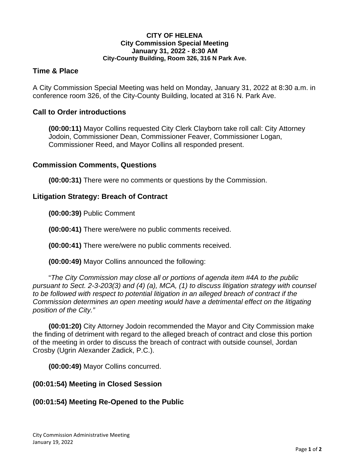#### **CITY OF HELENA City Commission Special Meeting January 31, 2022 - 8:30 AM City-County Building, Room 326, 316 N Park Ave.**

## **Time & Place**

A City Commission Special Meeting was held on Monday, January 31, 2022 at 8:30 a.m. in conference room 326, of the City-County Building, located at 316 N. Park Ave.

## **Call to Order introductions**

**(00:00:11)** Mayor Collins requested City Clerk Clayborn take roll call: City Attorney Jodoin, Commissioner Dean, Commissioner Feaver, Commissioner Logan, Commissioner Reed, and Mayor Collins all responded present.

#### **Commission Comments, Questions**

**(00:00:31)** There were no comments or questions by the Commission.

## **Litigation Strategy: Breach of Contract**

**(00:00:39)** Public Comment

**(00:00:41)** There were/were no public comments received.

**(00:00:41)** There were/were no public comments received.

**(00:00:49)** Mayor Collins announced the following:

"*The City Commission may close all or portions of agenda item #4A to the public pursuant to Sect. 2-3-203(3) and (4) (a), MCA, (1) to discuss litigation strategy with counsel to be followed with respect to potential litigation in an alleged breach of contract if the Commission determines an open meeting would have a detrimental effect on the litigating position of the City."*

**(00:01:20)** City Attorney Jodoin recommended the Mayor and City Commission make the finding of detriment with regard to the alleged breach of contract and close this portion of the meeting in order to discuss the breach of contract with outside counsel, Jordan Crosby (Ugrin Alexander Zadick, P.C.).

**(00:00:49)** Mayor Collins concurred.

#### **(00:01:54) Meeting in Closed Session**

## **(00:01:54) Meeting Re-Opened to the Public**